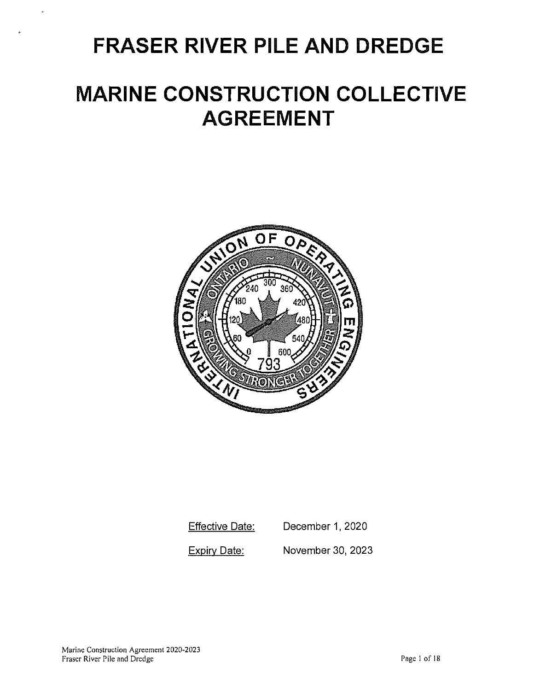# **FRASER RIVER PILE AND DREDGE**

# **MARINE CONSTRUCTION COLLECTIVE AGREEMENT**



**Effective Date:** December 1, 2020

Expirv Date: November 30, 2023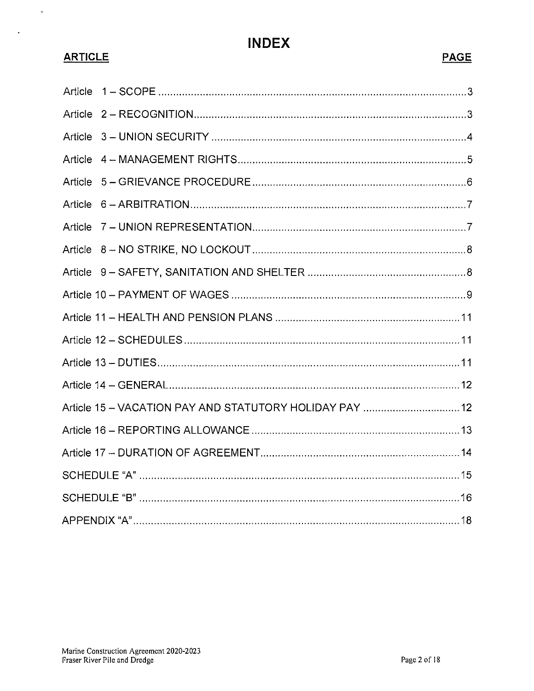# **INDEX**

# **ARTICLE**

 $\ddot{\phantom{a}}$ 

 $\downarrow$ 

# **PAGE**

| Article |                                                         |
|---------|---------------------------------------------------------|
|         |                                                         |
| Article |                                                         |
| Article |                                                         |
| Article |                                                         |
| Article |                                                         |
|         |                                                         |
|         |                                                         |
|         |                                                         |
|         |                                                         |
|         |                                                         |
|         |                                                         |
|         |                                                         |
|         |                                                         |
|         | Article 15 - VACATION PAY AND STATUTORY HOLIDAY PAY  12 |
|         |                                                         |
|         |                                                         |
|         |                                                         |
|         |                                                         |
|         |                                                         |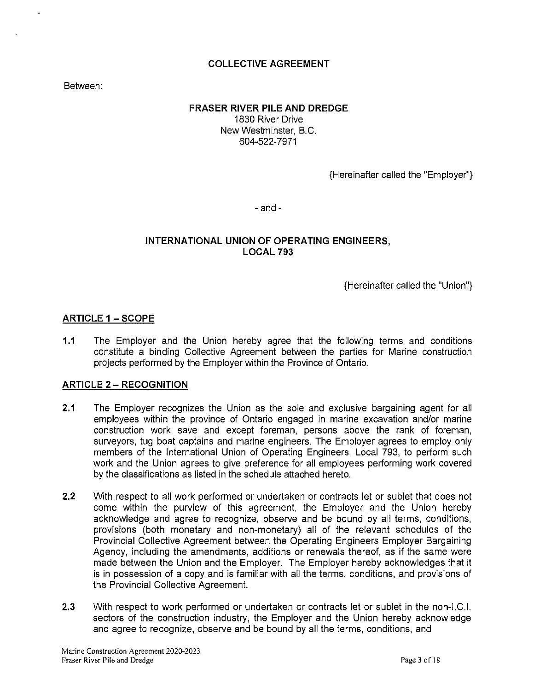# **COLLECTIVE AGREEMENT**

Between:

### **FRASER RIVER PILE AND DREDGE**  1830 River Drive New Westminster, B.C. 604-522-7971

{Hereinafter called the "Employer"}

 $-$  and  $-$ 

# **INTERNATIONAL UNION OF OPERATING ENGINEERS, LOCAL 793**

{Hereinafter called the "Union"}

## **ARTICLE 1 - SCOPE**

**1.1** The Employer and the Union hereby agree that the following terms and conditions constitute a binding Collective Agreement between the parties for Marine construction projects performed by the Employer within the Province of Ontario.

### **ARTICLE 2 - RECOGNITION**

- **2.1** The Employer recognizes the Union as the sole and exclusive bargaining agent for all employees within the province of Ontario engaged in marine excavation and/or marine construction work save and except foreman, persons above the rank of foreman, surveyors, tug boat captains and marine engineers. The Employer agrees to employ only members of the International Union of Operating Engineers, Local 793, to perform such work and the Union agrees to give preference for all employees performing work covered by the classifications as listed in the schedule attached hereto.
- **2.2** With respect to all work performed or undertaken or contracts let or sublet that does not come within the purview of this agreement, the Employer and the Union hereby acknowledge and agree to recognize, observe and be bound by all terms, conditions, provisions (both monetary and non-monetary) all of the relevant schedules of the Provincial Collective Agreement between the Operating Engineers Employer Bargaining Agency, including the amendments, additions or renewals thereof, as if the same were made between the Union and the Employer. The Employer hereby acknowledges that it is in possession of a copy and is familiar with all the terms, conditions, and provisions of the Provincial Collective Agreement.
- **2.3** With respect to work performed or undertaken or contracts let or sublet in the non-1.C.I. sectors of the construction industry, the Employer and the Union hereby acknowledge and agree to recognize, observe and be bound by all the terms, conditions, and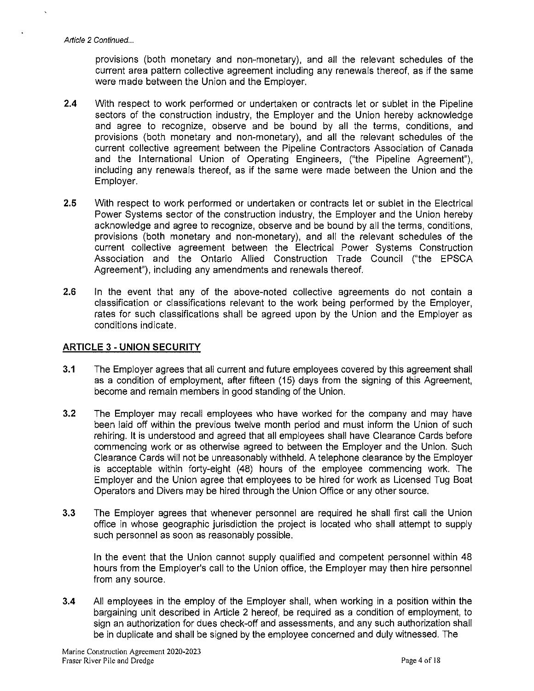provisions (both monetary and non-monetary), and all the relevant schedules of the current area pattern collective agreement including any renewals thereof, as if the same were made between the Union and the Employer.

- **2.4** With respect to work performed or undertaken or contracts let or sublet in the Pipeline sectors of the construction industry, the Employer and the Union hereby acknowledge and agree to recognize, observe and be bound by all the terms, conditions, and provisions (both monetary and non-monetary), and all the relevant schedules of the current collective agreement between the Pipeline Contractors Association of Canada and the International Union of Operating Engineers, ("the Pipeline Agreement"), including any renewals thereof, as if the same were made between the Union and the Employer.
- 2.5 With respect to work performed or undertaken or contracts let or sublet in the Electrical Power Systems sector of the construction industry, the Employer and the Union hereby acknowledge and agree to recognize, observe and be bound by all the terms, conditions, provisions (both monetary and non-monetary), and all the relevant schedules of the current collective agreement between the Electrical Power Systems Construction Association and the Ontario Allied Construction Trade Council ("the EPSCA Agreement"), including any amendments and renewals thereof.
- 2.6 In the event that any of the above-noted collective agreements do not contain a classification or classifications relevant to the work being performed by the Employer, rates for such classifications shall be agreed upon by the Union and the Employer as conditions indicate.

### **ARTICLE** 3 - **UNION SECURITY**

- **3.1** The Employer agrees that all current and future employees covered by this agreement shall as a condition of employment, after fifteen (15) days from the signing of this Agreement, become and remain members in good standing of the Union.
- 3.2 The Employer may recall employees who have worked for the company and may have been laid off within the previous twelve month period and must inform the Union of such rehiring. It is understood and agreed that all employees shall have Clearance Cards before commencing work or as otherwise agreed to between the Employer and the Union. Such Clearance Cards will not be unreasonably withheld. A telephone clearance by the Employer is acceptable within forty-eight (48) hours of the employee commencing work. The Employer and the Union agree that employees to be hired for work as Licensed Tug Boat Operators and Divers may be hired through the Union Office or any other source.
- 3.3 The Employer agrees that whenever personnel are required he shall first call the Union office in whose geographic jurisdiction the project is located who shall attempt to supply such personnel as soon as reasonably possible.

In the event that the Union cannot supply qualified and competent personnel within 48 hours from the Employer's call to the Union office, the Employer may then hire personnel from any source.

**3.4** All employees in the employ of the Employer shall, when working in a position within the bargaining unit described in Article 2 hereof, be required as a condition of employment, to sign an authorization for dues check-off and assessments, and any such authorization shall be in duplicate and shall be signed by the employee concerned and duly witnessed. The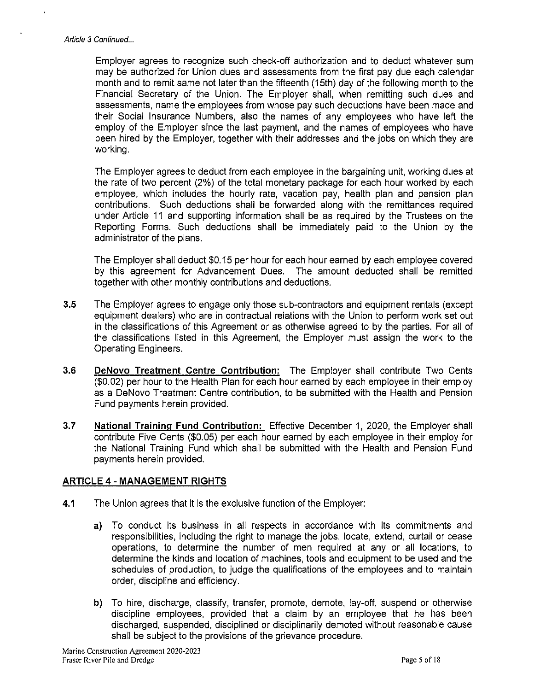Employer agrees to recognize such check-off authorization and to deduct whatever sum may be authorized for Union dues and assessments from the first pay due each calendar month and to remit same not later than the fifteenth (15th) day of the following month to the Financial Secretary of the Union. The Employer shall, when remitting such dues and assessments, name the employees from whose pay such deductions have been made and their Social Insurance Numbers, also the names of any employees who have left the employ of the Employer since the last payment, and the names of employees who have been hired by the Employer, together with their addresses and the jobs on which they are working.

The Employer agrees to deduct from each employee in the bargaining unit, working dues at the rate of two percent (2%) of the total monetary package for each hour worked by each employee, which includes the hourly rate, vacation pay, health plan and pension plan contributions. Such deductions shall be forwarded along with the remittances required under Article 11 and supporting information shall be as required by the Trustees on the Reporting Forms. Such deductions shall be immediately paid to the Union by the administrator of the plans.

The Employer shall deduct \$0.15 per hour for each hour earned by each employee covered by this agreement for Advancement Dues. The amount deducted shall be remitted together with other monthly contributions and deductions.

- 3.5 The Employer agrees to engage only those sub-contractors and equipment rentals (except equipment dealers) who are in contractual relations with the Union to perform work set out in the classifications of this Agreement or as otherwise agreed to by the parties. For all of the classifications listed in this Agreement, the Employer must assign the work to the Operating Engineers.
- 3.6 **DeNovo Treatment Centre Contribution:** The Employer shall contribute Two Cents (\$0.02) per hour to the Health Plan for each hour earned by each employee in their employ as a DeNovo Treatment Centre contribution, to be submitted with the Health and Pension Fund payments herein provided.
- 3.7 **National Training Fund Contribution:** Effective December 1, 2020, the Employer shall contribute Five Cents (\$0.05) per each hour earned by each employee in their employ for the National Training Fund which shall be submitted with the Health and Pension Fund payments herein provided.

# **ARTICLE 4 - MANAGEMENT RIGHTS**

- **4.1** The Union agrees that it is the exclusive function of the Employer:
	- a) To conduct its business in all respects in accordance with its commitments and responsibilities, including the right to manage the jobs, locate, extend, curtail or cease operations, to determine the number of men required at any or all locations, to determine the kinds and location of machines, tools and equipment to be used and the schedules of production, to judge the qualifications of the employees and to maintain order, discipline and efficiency.
	- **b)** To hire, discharge, classify, transfer, promote, demote, lay-off, suspend or otherwise discipline employees, provided that a claim by an employee that he has been discharged, suspended, disciplined or disciplinarily demoted without reasonable cause shall be subject to the provisions of the grievance procedure.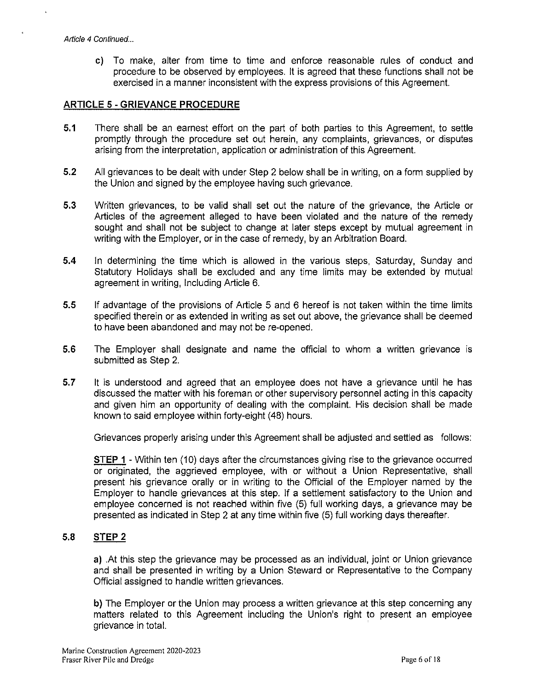c) To make, alter from time to time and enforce reasonable rules of conduct and procedure to be observed by employees. It is agreed that these functions shall not be exercised in a manner inconsistent with the express provisions of this Agreement.

## **ARTICLE 5 - GRIEVANCE PROCEDURE**

- **5.1** There shall be an earnest effort on the part of both parties to this Agreement, to settle promptly through the procedure set out herein, any complaints, grievances, or disputes arising from the interpretation, application or administration of this Agreement.
- **5.2** All grievances to be dealt with under Step 2 below shall be in writing, on a form supplied by the Union and signed by the employee having such grievance.
- **5.3** Written grievances, to be valid shall set out the nature of the grievance, the Article or Articles of the agreement alleged to have been violated and the nature of the remedy sought and shall not be subject to change at later steps except by mutual agreement in writing with the Employer, or in the case of remedy, by an Arbitration Board.
- **5.4** In determining the time which is allowed in the various steps, Saturday, Sunday and Statutory Holidays shall be excluded and any time limits may be extended by mutual agreement in writing, Including Article 6.
- **5.5** If advantage of the provisions of Article 5 and 6 hereof is not taken within the time limits specified therein or as extended in writing as set out above, the grievance shall be deemed to have been abandoned and may not be re-opened.
- **5.6** The Employer shall designate and name the official to whom a written grievance is submitted as Step 2.
- **5.7** It is understood and agreed that an employee does not have a grievance until he has discussed the matter with his foreman or other supervisory personnel acting in this capacity and given him an opportunity of dealing with the complaint. His decision shall be made known to said employee within forty-eight (48) hours.

Grievances properly arising under this Agreement shall be adjusted and settled as follows:

**STEP 1** - Within ten (10) days after the circumstances giving rise to the grievance occurred or originated, the aggrieved employee, with or without a Union Representative, shall present his grievance orally or in writing to the Official of the Employer named by the Employer to handle grievances at this step. If a settlement satisfactory to the Union and employee concerned is not reached within five (5) full working days, a grievance may be presented as indicated in Step 2 at any time within five (5) full working days thereafter.

### **5.B STEP 2**

**a)** .At this step the grievance may be processed as an individual, joint or Union grievance and shall be presented in writing by a Union Steward or Representative to the Company Official assigned to handle written grievances.

**b)** The Employer or the Union may process a written grievance at this step concerning any matters related to this Agreement including the Union's right to present an employee grievance in total.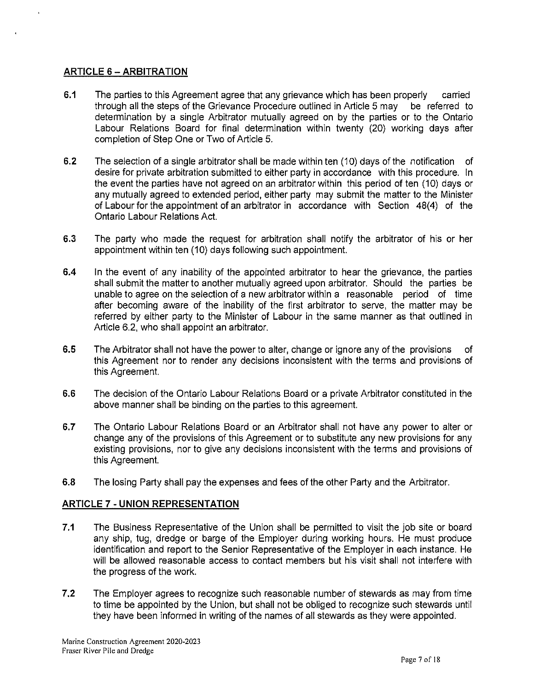# **ARTICLE** 6 - **ARBITRATION**

- **6.1** The parties to this Agreement agree that any grievance which has been properly carried through all the steps of the Grievance Procedure outlined in Article 5 may be referred to determination by a single Arbitrator mutually agreed on by the parties or to the Ontario Labour Relations Board for final determination within twenty (20) working days after completion of Step One or Two of Article 5.
- **6.2** The selection of a single arbitrator shall be made within ten (10) days of the notification of desire for private arbitration submitted to either party in accordance with this procedure. In the event the parties have not agreed on an arbitrator within this period of ten (10) days or any mutually agreed to extended period, either party may submit the matter to the Minister of Labour for the appointment of an arbitrator in accordance with Section 48(4) of the Ontario Labour Relations Act.
- 6.3 The party who made the request for arbitration shall notify the arbitrator of his or her appointment within ten (10) days following such appointment.
- **6.4** In the event of any inability of the appointed arbitrator to hear the grievance, the parties shall submit the matter to another mutually agreed upon arbitrator. Should the parties be unable to agree on the selection of a new arbitrator within a reasonable period of time after becoming aware of the inability of the first arbitrator to serve, the matter may be referred by either party to the Minister of Labour in the same manner as that outlined in Article 6.2, who shall appoint an arbitrator.
- **6.5** The Arbitrator shall not have the power to alter, change or ignore any of the provisions of this Agreement nor to render any decisions inconsistent with the terms and provisions of this Agreement.
- 6.6 The decision of the Ontario Labour Relations Board or a private Arbitrator constituted in the above manner shall be binding on the parties to this agreement.
- 6.7 The Ontario Labour Relations Board or an Arbitrator shall not have any power to alter or change any of the provisions of this Agreement or to substitute any new provisions for any existing provisions, nor to give any decisions inconsistent with the terms and provisions of this Agreement.
- 6.8 The losing Party shall pay the expenses and fees of the other Party and the Arbitrator.

# **ARTICLE 7 - UNION REPRESENTATION**

- **7.1** The Business Representative of the Union shall be permitted to visit the job site or board any ship, tug, dredge or barge of the Employer during working hours. He must produce identification and report to the Senior Representative of the Employer in each instance. He will be allowed reasonable access to contact members but his visit shall not interfere with the progress of the work.
- **7.2** The Employer agrees to recognize such reasonable number of stewards as may from time to time be appointed by the Union, but shall not be obliged to recognize such stewards until they have been informed in writing of the names of all stewards as they were appointed.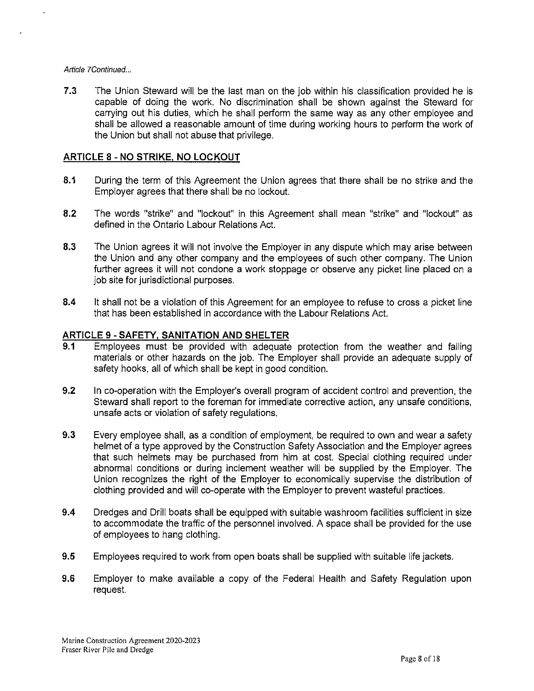#### Article 7Continued...

**7.3** The Union Steward will be the last man on the job within his classification provided he is capable of doing the work. No discrimination shall be shown against the Steward for carrying out his duties, which he shall perform the same way as any other employee and shall be allowed a reasonable amount of time during working hours to perform the work of the Union but shall not abuse that privilege.

# **ARTICLE 8 - NO STRIKE, NO LOCKOUT**

- **8.1** During the term of this Agreement the Union agrees that there shall be no strike and the Employer agrees that there shall be no lockout.
- **8.2** The words "strike" and "lockout" in this Agreement shall mean "strike" and "lockout" as defined in the Ontario Labour Relations Act.
- **8.3** The Union agrees it will not involve the Employer in any dispute which may arise between the Union and any other company and the employees of such other company. The Union further agrees it will not condone a work stoppage or observe any picket line placed on a job site for jurisdictional purposes.
- **8.4** It shall not be a violation of this Agreement for an employee to refuse to cross a picket line that has been established in accordance with the Labour Relations Act.

# **ARTICLE** 9 - **SAFETY, SANITATION AND SHELTER**

- **9.1** Employees must be provided with adequate protection from the weather and falling materials or other hazards on the job. The Employer shall provide an adequate supply of safety hooks, all of which shall be kept in good condition.
- **9.2** In co-operation with the Employer's overall program of accident control and prevention, the Steward shall report to the foreman for immediate corrective action, any unsafe conditions, unsafe acts or violation of safety regulations.
- 9.3 Every employee shall, as a condition of employment, be required to own and wear a safety helmet of a type approved by the Construction Safety Association and the Employer agrees that such helmets may be purchased from him at cost. Special clothing required under abnormal conditions or during inclement weather will be supplied by the Employer. The Union recognizes the right of the Employer to economically supervise the distribution of clothing provided and will co-operate with the Employer to prevent wasteful practices.
- **9.4** Dredges and Drill boats shall be equipped with suitable washroom facilities sufficient in size to accommodate the traffic of the personnel involved. A space shall be provided for the use of employees to hang clothing.
- **9.5** Employees required to work from open boats shall be supplied with suitable life jackets.
- **9.6** Employer to make available a copy of the Federal Health and Safety Regulation upon request.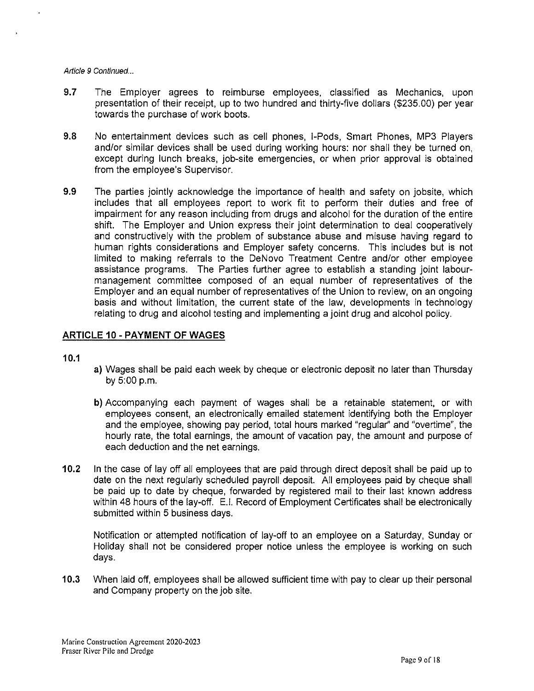#### Article 9 Continued...

- 9.7 The Employer agrees to reimburse employees, classified as Mechanics, upon presentation of their receipt, up to two hundred and thirty-five dollars (\$235.00) per year towards the purchase of work boots.
- 9.8 No entertainment devices such as cell phones, I-Pods, Smart Phones, MP3 Players and/or similar devices shall be used during working hours: nor shall they be turned on, except during lunch breaks, job-site emergencies, or when prior approval is obtained from the employee's Supervisor.
- 9.9 The parties jointly acknowledge the importance of health and safety on jobsite, which includes that all employees report to work fit to perform their duties and free of impairment for any reason including from drugs and alcohol for the duration of the entire shift. The Employer and Union express their joint determination to deal cooperatively and constructively with the problem of substance abuse and misuse having regard to human rights considerations and Employer safety concerns. This includes but is not limited to making referrals to the DeNovo Treatment Centre and/or other employee assistance programs. The Parties further agree to establish a standing joint labourmanagement committee composed of an equal number of representatives of the Employer and an equal number of representatives of the Union to review, on an ongoing basis and without limitation, the current state of the law, developments in technology relating to drug and alcohol testing and implementing a joint drug and alcohol policy.

#### **ARTICLE 10 - PAYMENT OF WAGES**

#### **10.1**

- a) Wages shall be paid each week by cheque or electronic deposit no later than Thursday by 5:00 p.m.
- **b)** Accompanying each payment of wages shall be a retainable statement, or with employees consent, an electronically emailed statement identifying both the Employer and the employee, showing pay period, total hours marked "regular" and "overtime", the hourly rate, the total earnings, the amount of vacation pay, the amount and purpose of each deduction and the net earnings.
- **10.2** In the case of lay off all employees that are paid through direct deposit shall be paid up to date on the next regularly scheduled payroll deposit. All employees paid by cheque shall be paid up to date by cheque, forwarded by registered mail to their last known address within 48 hours of the lay-off. E.1. Record of Employment Certificates shall be electronically submitted within 5 business days.

Notification or attempted notification of lay-off to an employee on a Saturday, Sunday or Holiday shall not be considered proper notice unless the employee is working on such days.

**10.3** When laid off, employees shall be allowed sufficient time with pay to clear up their personal and Company property on the job site.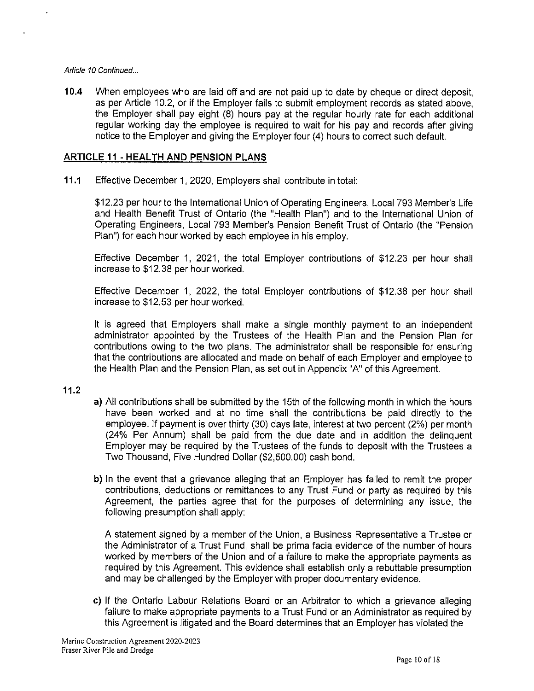#### Article 10 Continued ...

**10.4** When employees who are laid off and are not paid up to date by cheque or direct deposit, as per Article 10.2, or if the Employer fails to submit employment records as stated above, the Employer shall pay eight (8) hours pay at the regular hourly rate for each additional regular working day the employee is required to wait for his pay and records after giving notice to the Employer and giving the Employer four (4) hours to correct such default.

### **ARTICLE 11 - HEAL TH AND PENSION PLANS**

**11.1** Effective December 1, 2020, Employers shall contribute in total:

\$12.23 per hour to the International Union of Operating Engineers, Local 793 Member's Life and Health Benefit Trust of Ontario (the "Health Plan") and to the International Union of Operating Engineers, Local 793 Member's Pension Benefit Trust of Ontario (the "Pension Plan") for each hour worked by each employee in his employ.

Effective December 1, 2021, the total Employer contributions of \$12.23 per hour shall increase to \$12.38 per hour worked.

Effective December 1, 2022, the total Employer contributions of \$12.38 per hour shall increase to \$12.53 per hour worked.

It is agreed that Employers shall make a single monthly payment to an independent administrator appointed by the Trustees of the Health Plan and the Pension Plan for contributions owing to the two plans. The administrator shall be responsible for ensuring that the contributions are allocated and made on behalf of each Employer and employee to the Health Plan and the Pension Plan, as set out in Appendix "A" of this Agreement.

### **11.2**

- a) All contributions shall be submitted by the 15th of the following month in which the hours have been worked and at no time shall the contributions be paid directly to the employee. If payment is over thirty (30) days late, interest at two percent (2%) per month (24% Per Annum) shall be paid from the due date and in addition the delinquent Employer may be required by the Trustees of the funds to deposit with the Trustees a Two Thousand, Five Hundred Dollar (\$2,500.00) cash bond.
- **b)** In the event that a grievance alleging that an Employer has failed to remit the proper contributions, deductions or remittances to any Trust Fund or party as required by this Agreement, the parties agree that for the purposes of determining any issue, the following presumption shall apply:

A statement signed by a member of the Union, a Business Representative a Trustee or the Administrator of a Trust Fund, shall be prima facia evidence of the number of hours worked by members of the Union and of a failure to make the appropriate payments as required by this Agreement. This evidence shall establish only a rebuttable presumption and may be challenged by the Employer with proper documentary evidence.

c) If the Ontario Labour Relations Board or an Arbitrator to which a grievance alleging failure to make appropriate payments to a Trust Fund or an Administrator as required by this Agreement is litigated and the Board determines that an Employer has violated the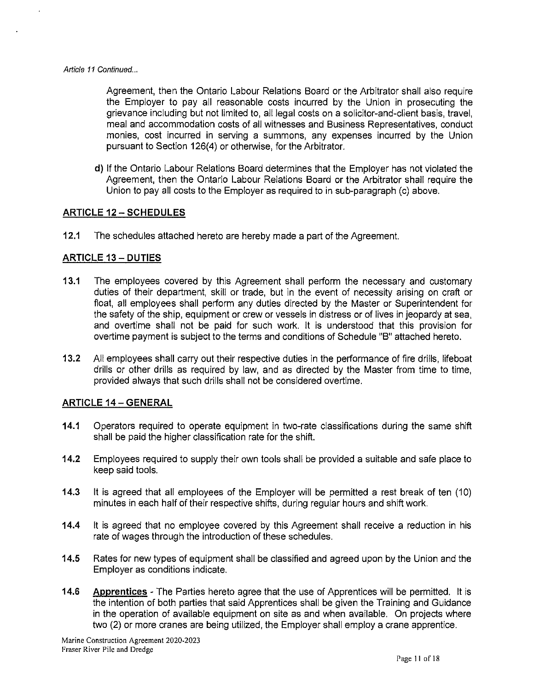Agreement, then the Ontario Labour Relations Board or the Arbitrator shall also require the Employer to pay all reasonable costs incurred by the Union in prosecuting the grievance including but not limited to, all legal costs on a solicitor-and-client basis, travel, meal and accommodation costs of all witnesses and Business Representatives, conduct monies, cost incurred in serving a summons, any expenses incurred by the Union pursuant to Section 126(4) or otherwise, for the Arbitrator.

**d)** If the Ontario Labour Relations Board determines that the Employer has not violated the Agreement, then the Ontario Labour Relations Board or the Arbitrator shall require the Union to pay all costs to the Employer as required to in sub-paragraph (c) above.

# **ARTICLE 12-SCHEDULES**

**12.1** The schedules attached hereto are hereby made a part of the Agreement.

# **ARTICLE 13- DUTIES**

- **13.1** The employees covered by this Agreement shall perform the necessary and customary duties of their department, skill or trade, but in the event of necessity arising on craft or float, all employees shall perform any duties directed by the Master or Superintendent for the safety of the ship, equipment or crew or vessels in distress or of lives in jeopardy at sea, and overtime shall not be paid for such work. It is understood that this provision for overtime payment is subject to the terms and conditions of Schedule "B" attached hereto.
- **13.2** All employees shall carry out their respective duties in the performance of fire drills, lifeboat drills or other drills as required by law, and as directed by the Master from time to time, provided always that such drills shall not be considered overtime.

### **ARTICLE 14 - GENERAL**

- **14.1** Operators required to operate equipment in two-rate classifications during the same shift shall be paid the higher classification rate for the shift.
- **14.2** Employees required to supply their own tools shall be provided a suitable and safe place to keep said tools.
- **14.3** It is agreed that all employees of the Employer will be permitted a rest break of ten (10) minutes in each half of their respective shifts, during regular hours and shift work.
- **14.4** It is agreed that no employee covered by this Agreement shall receive a reduction in his rate of wages through the introduction of these schedules.
- **14.5** Rates for new types of equipment shall be classified and agreed upon by the Union and the Employer as conditions indicate.
- **14.6 Apprentices**  The Parties hereto agree that the use of Apprentices will be permitted. It is the intention of both parties that said Apprentices shall be given the Training and Guidance in the operation of available equipment on site as and when available. On projects where two (2) or more cranes are being utilized, the Employer shall employ a crane apprentice.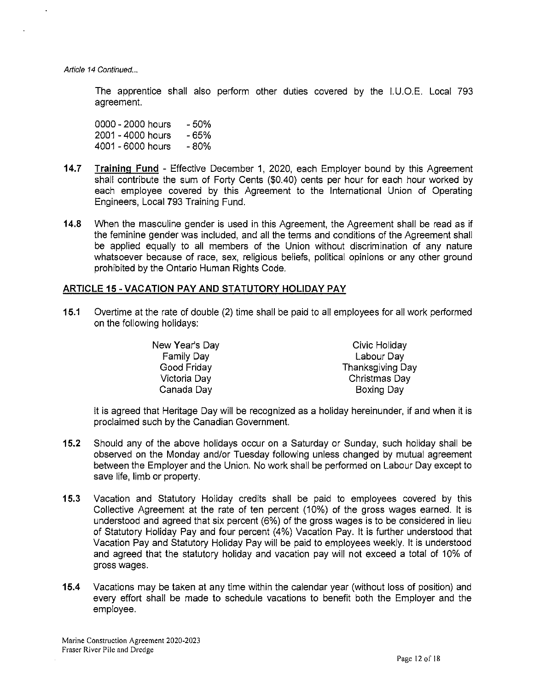Article 14 Continued...

The apprentice shall also perform other duties covered by the 1.U.O.E. Local 793 agreement.

0000 - 2000 hours 2001 - 4000 hours -65% 4001 - 6000 hours -50% -80%

- **14.7** Training Fund Effective December 1, 2020, each Employer bound by this Agreement shall contribute the sum of Forty Cents (\$0.40) cents per hour for each hour worked by each employee covered by this Agreement to the International Union of Operating Engineers, Local 793 Training Fund.
- **14.8** When the masculine gender is used in this Agreement, the Agreement shall be read as if the feminine gender was included, and all the terms and conditions of the Agreement shall be applied equally to all members of the Union without discrimination of any nature whatsoever because of race, sex, religious beliefs, political opinions or any other ground prohibited by the Ontario Human Rights Code.

### **ARTICLE 15-VACATION PAY AND STATUTORY HOLIDAY PAY**

**15.1** Overtime at the rate of double (2) time shall be paid to all employees for all work performed on the following holidays:

> New Year's Day Family Day Good Friday Victoria Day Canada Day Civic Holiday Labour Day Thanksgiving Day Christmas Day Boxing Day

It is agreed that Heritage Day will be recognized as a holiday hereinunder, if and when it is proclaimed such by the Canadian Government.

- **15.2** Should any of the above holidays occur on a Saturday or Sunday, such holiday shall be observed on the Monday and/or Tuesday following unless changed by mutual agreement between the Employer and the Union. No work shall be performed on Labour Day except to save life, limb or property.
- **15.3** Vacation and Statutory Holiday credits shall be paid to employees covered by this Collective Agreement at the rate of ten percent (10%) of the gross wages earned. It is understood and agreed that six percent (6%) of the gross wages is to be considered in lieu of Statutory Holiday Pay and four percent (4%) Vacation Pay. It is further understood that Vacation Pay and Statutory Holiday Pay will be paid to employees weekly. It is understood and agreed that the statutory holiday and vacation pay will not exceed a total of 10% of gross wages.
- **15.4** Vacations may be taken at any time within the calendar year (without loss of position) and every effort shall be made to schedule vacations to benefit both the Employer and the employee.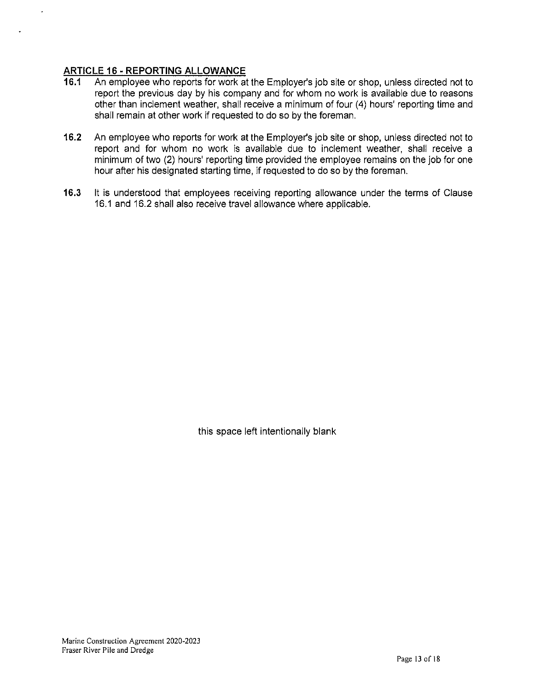# **ARTICLE 16 - REPORTING ALLOWANCE**

 $\overline{a}$ 

- **16.1** An employee who reports for work at the Employer's job site or shop, unless directed not to report the previous day by his company and for whom no work is available due to reasons other than inclement weather, shall receive a minimum of four (4) hours' reporting time and shall remain at other work if requested to do so by the foreman.
- **16.2** An employee who reports for work at the Employer's job site or shop, unless directed not to report and for whom no work is available due to inclement weather, shall receive a minimum of two (2) hours' reporting time provided the employee remains on the job for one hour after his designated starting time, if requested to do so by the foreman.
- **16.3** It is understood that employees receiving reporting allowance under the terms of Clause 16.1 and 16.2 shall also receive travel allowance where applicable.

this space left intentionally blank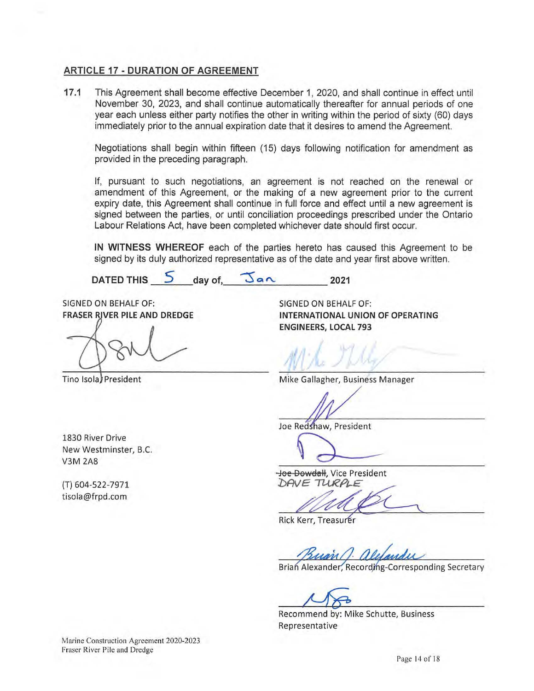# **ARTICLE 17 - DURATION OF AGREEMENT**

**17.1** This Agreement shall become effective December 1, 2020, and shall continue in effect until November 30, 2023, and shall continue automatically thereafter for annual periods of one year each unless either party notifies the other in writing within the period of sixty (60) days immediately prior to the annual expiration date that it desires to amend the Agreement.

Negotiations shall begin within fifteen (15) days following notification for amendment as provided in the preceding paragraph.

If, pursuant to such negotiations, an agreement is not reached on the renewal or amendment of this Agreement, or the making of a new agreement prior to the current expiry date, this Agreement shall continue in full force and effect until a new agreement is signed between the parties, or until conciliation proceedings prescribed under the Ontario Labour Relations Act, have been completed whichever date should first occur.

**IN WITNESS WHEREOF** each of the parties hereto has caused this Agreement to be signed by its duly authorized representative as of the date and year first above written.

 $\begin{array}{ccc} \n\text{DATE} & \text{D} & \text{day of} \\ \n\end{array}$   $\begin{array}{ccc} \n\sqrt{a} & \text{lambda} \\ \n\end{array}$  2021

SIGNED ON BEHALF OF: **FRASER RIVER PILE AND DREDGE** 

Tino Isola President

SIGNED ON BEHALF OF: **INTERNATIONAL UNION OF OPERATING ENGINEERS, LOCAL 793** 

Mike Gallagher, Business Manager

Joe Redshaw, President

1830 River Drive New Westminster, B.C. V3M 2A8

(T) 604-522-7971 tisola@frpd.com

Joe Dowdall, Vice President DAVE TURPLE

Rick Kerr, Treasurer

Brian Alexander, Recording-Corresponding Secretary

Recommend by: Mike Schutte, Business Representative

Marine Construction Agreement 2020-2023 Fraser River Pile and Dredge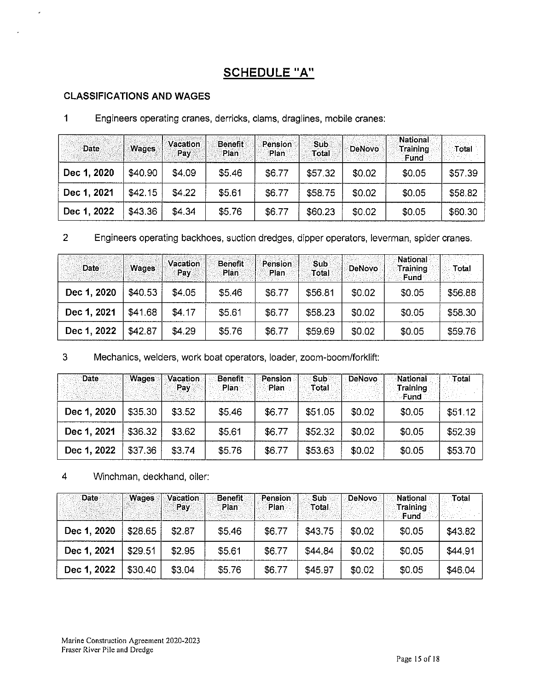# **SCHEDULE "A"**

# CLASSIFICATIONS AND WAGES

 $\mathbf{r}$ 

|  |  |  |  |  | Engineers operating cranes, derricks, clams, draglines, mobile cranes: |
|--|--|--|--|--|------------------------------------------------------------------------|
|--|--|--|--|--|------------------------------------------------------------------------|

| Date        | <b>Wages</b> | Vacation<br>Pav | <b>Benefit</b><br>Plan | Pension<br>Plan | <b>Sub</b><br>Total | <b>DeNovo</b> | <b>National</b><br>Training<br>Fund | Total   |
|-------------|--------------|-----------------|------------------------|-----------------|---------------------|---------------|-------------------------------------|---------|
| Dec 1, 2020 | \$40.90      | \$4.09          | \$5.46                 | \$6.77          | \$57.32             | \$0.02        | \$0.05                              | \$57.39 |
| Dec 1, 2021 | \$42.15      | \$4.22          | \$5.61                 | \$6.77          | \$58.75             | \$0.02        | \$0.05                              | \$58.82 |
| Dec 1, 2022 | \$43.36      | \$4.34          | \$5,76                 | \$6.77          | \$60.23             | \$0.02        | \$0.05                              | \$60.30 |

2 Engineers operating backhoes, suction dredges, dipper operators, leverman, spider cranes.

| <b>Date</b> | <b>Wages</b> | <b>Vacation</b><br>Pay | <b>Benefit</b><br>Plan | Pension.<br>Plan | Sub<br>Total | <b>DeNovo</b> | National<br>Training<br><b>Fund</b> | Total   |
|-------------|--------------|------------------------|------------------------|------------------|--------------|---------------|-------------------------------------|---------|
| Dec 1, 2020 | \$40.53      | \$4.05                 | \$5.46                 | \$6.77           | \$56.81      | \$0.02        | \$0.05                              | \$56.88 |
| Dec 1, 2021 | \$41,68      | \$4.17                 | \$5.61                 | \$6.77           | \$58.23      | \$0.02        | \$0.05                              | \$58,30 |
| Dec 1, 2022 | \$42.87      | \$4.29                 | \$5.76                 | \$6,77           | \$59.69      | \$0.02        | \$0.05                              | \$59.76 |

3 Mechanics, welders, work boat operators, loader, zoom-boom/forklift:

| Date        | Wages   | Vacation<br>Pay | <b>Benefit</b><br>Plan | Pension<br>Plan | 'Sub<br>Total | DeNovo | National<br>Training<br><b>Fund</b> | Total   |
|-------------|---------|-----------------|------------------------|-----------------|---------------|--------|-------------------------------------|---------|
| Dec 1, 2020 | \$35.30 | \$3.52          | \$5.46                 | \$6.77          | \$51.05       | \$0.02 | \$0.05                              | \$51.12 |
| Dec 1, 2021 | \$36.32 | \$3.62          | \$5.61                 | \$6,77          | \$52.32       | \$0.02 | \$0.05                              | \$52.39 |
| Dec 1, 2022 | \$37,36 | \$3.74          | \$5.76                 | \$6.77          | \$53.63       | \$0.02 | \$0.05                              | \$53.70 |

4 Winchman, deckhand, oiler:

| <b>Date</b> | Wages   | Vacation<br>Pav | Benefit<br>Plan | Pension<br>Plan | <b>Sub</b><br>Total | <b>DeNovo</b> | National<br><b>Training</b><br>Fund | Total   |
|-------------|---------|-----------------|-----------------|-----------------|---------------------|---------------|-------------------------------------|---------|
| Dec 1, 2020 | \$28.65 | \$2.87          | \$5.46          | \$6.77          | \$43.75             | \$0.02        | \$0.05                              | \$43.82 |
| Dec 1, 2021 | \$29.51 | \$2.95          | \$5.61          | \$6.77          | \$44.84             | \$0.02        | \$0.05                              | \$44.91 |
| Dec 1, 2022 | \$30.40 | \$3,04          | \$5.76          | \$6,77          | \$45.97             | \$0.02        | \$0.05                              | \$46.04 |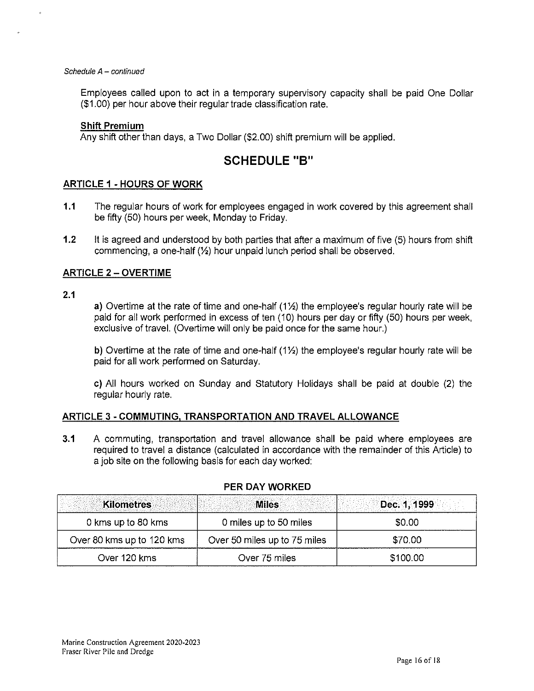#### Schedule A - continued

Employees called upon to act in a temporary supervisory capacity shall be paid One Dollar (\$1.00) per hour above their regular trade classification rate.

### **Shift Premium**

Any shift other than days, a Two Dollar (\$2.00) shift premium will be applied.

# **SCHEDULE "B"**

## **ARTICLE 1 - HOURS OF WORK**

- **1.1** The regular hours of work for employees engaged in work covered by this agreement shall be fifty (50) hours per week, Monday to Friday.
- **1.2** It is agreed and understood by both parties that after a maximum of five (5) hours from shift commencing, a one-half (1/2) hour unpaid lunch period shall be observed.

## **ARTICLE 2 - OVERTIME**

#### **2.1**

a) Overtime at the rate of time and one-half  $(1/2)$  the employee's regular hourly rate will be paid for all work performed in excess of ten (10) hours per day or fifty (50) hours per week, exclusive of travel. (Overtime will only be paid once for the same hour.)

b) Overtime at the rate of time and one-half  $(1\frac{1}{2})$  the employee's regular hourly rate will be paid for all work performed on Saturday.

c) All hours worked on Sunday and Statutory Holidays shall be paid at double (2) the regular hourly rate.

### **ARTICLE** 3 - **COMMUTING, TRANSPORTATION AND TRAVEL ALLOWANCE**

**3.1** A commuting, transportation and travel allowance shall be paid where employees are required to travel a distance (calculated in accordance with the remainder of this Article) to a job site on the following basis for each day worked:

| <b>Kilometres</b>         | <b>Miles</b>                 | Dec. 1, 1999 |
|---------------------------|------------------------------|--------------|
| 0 kms up to 80 kms        | 0 miles up to 50 miles       | \$0.00       |
| Over 80 kms up to 120 kms | Over 50 miles up to 75 miles | \$70.00      |
| Over 120 kms              | Over 75 miles                | \$100.00     |

### **PER DAY WORKED**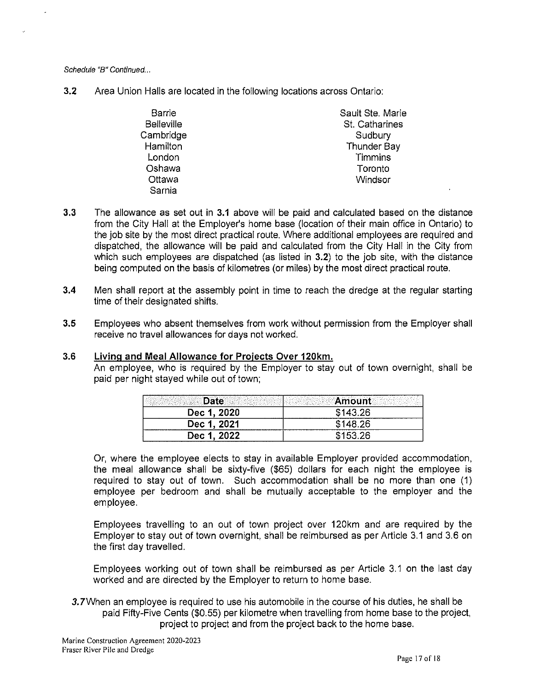Schedule "B" Continued...

**3.2** Area Union Halls are located in the following locations across Ontario:

| Barrie            | Sault Ste. Marie |
|-------------------|------------------|
| <b>Belleville</b> | St. Catharines   |
| Cambridge         | Sudbury          |
| Hamilton          | Thunder Bay      |
| London            | Timmins          |
| Oshawa            | Toronto          |
| Ottawa            | Windsor          |
| Sarnia            |                  |

- **3.3** The allowance as set out in **3.1** above will be paid and calculated based on the distance from the City Hall at the Employer's home base (location of their main office in Ontario) to the job site by the most direct practical route. Where additional employees are required and dispatched, the allowance will be paid and calculated from the City Hall in the City from which such employees are dispatched (as listed in **3.2)** to the job site, with the distance being computed on the basis of kilometres (or miles) by the most direct practical route.
- **3.4** Men shall report at the assembly point in time to reach the dredge at the regular starting time of their designated shifts.
- **3.5** Employees who absent themselves from work without permission from the Employer shall receive no travel allowances for days not worked.

# 3.6 **Living and Meal Allowance for Projects Over 120km.**

An employee, who is required by the Employer to stay out of town overnight, shall be paid per night stayed while out of town;

| te          | <b>Example 1</b><br>ten atoma a ser a ser e |
|-------------|---------------------------------------------|
| Dec 1, 2020 | \$143.26                                    |
| Dec 1, 2021 | \$148.26                                    |
| Dec 1, 2022 |                                             |

Or, where the employee elects to stay in available Employer provided accommodation, the meal allowance shall be sixty-five (\$65) dollars for each night the employee is required to stay out of town. Such accommodation shall be no more than one (1) employee per bedroom and shall be mutually acceptable to the employer and the employee.

Employees travelling to an out of town project over 120km and are required by the Employer to stay out of town overnight, shall be reimbursed as per Article 3.1 and 3.6 on the first day travelled.

Employees working out of town shall be reimbursed as per Article 3.1 on the last day worked and are directed by the Employer to return to home base.

*3.* 7When an employee is required to use his automobile in the course of his duties, he shall be paid Fifty-Five Cents (\$0.55) per kilometre when travelling from home base to the project, project to project and from the project back to the home base.